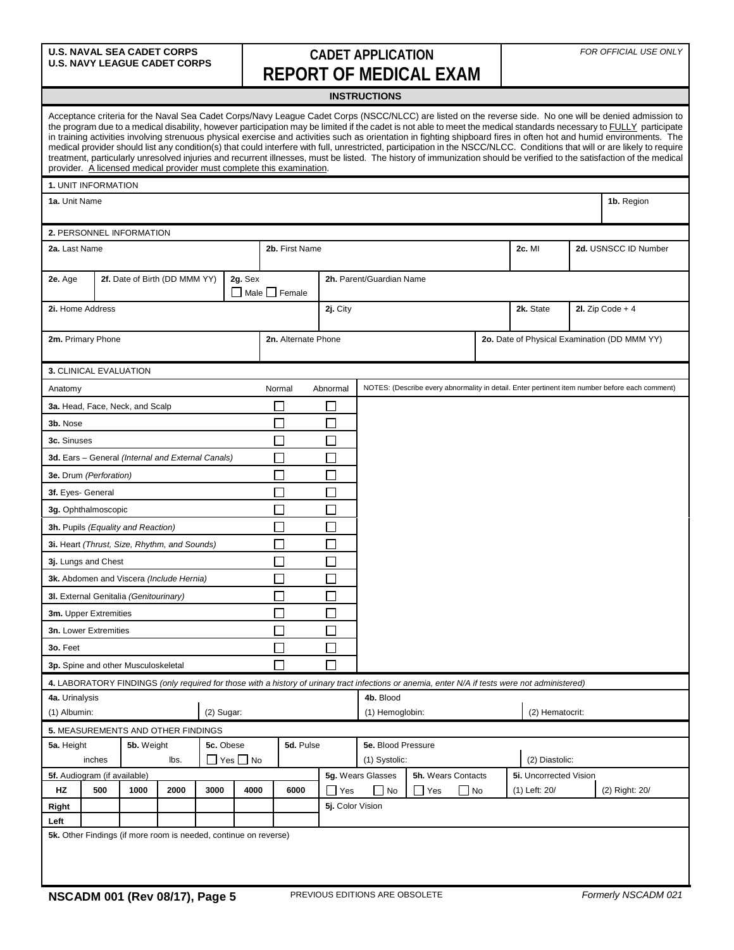## **U.S. NAVAL SEA CADET CORPS U.S. NAVY LEAGUE CADET CORPS CADET APPLICATION REPORT OF MEDICAL EXAM**

## **INSTRUCTIONS**

|                                                        |                        |                                 |                                                                         |           |                    | provider. A licensed medical provider must complete this examination. |                  |                          |  |                               |                |                                                                                                                                                 |                                              | Acceptance criteria for the Naval Sea Cadet Corps/Navy League Cadet Corps (NSCC/NLCC) are listed on the reverse side. No one will be denied admission to<br>the program due to a medical disability, however participation may be limited if the cadet is not able to meet the medical standards necessary to FULLY participate<br>in training activities involving strenuous physical exercise and activities such as orientation in fighting shipboard fires in often hot and humid environments. The<br>medical provider should list any condition(s) that could interfere with full, unrestricted, participation in the NSCC/NLCC. Conditions that will or are likely to require<br>treatment, particularly unresolved injuries and recurrent illnesses, must be listed. The history of immunization should be verified to the satisfaction of the medical |  |
|--------------------------------------------------------|------------------------|---------------------------------|-------------------------------------------------------------------------|-----------|--------------------|-----------------------------------------------------------------------|------------------|--------------------------|--|-------------------------------|----------------|-------------------------------------------------------------------------------------------------------------------------------------------------|----------------------------------------------|----------------------------------------------------------------------------------------------------------------------------------------------------------------------------------------------------------------------------------------------------------------------------------------------------------------------------------------------------------------------------------------------------------------------------------------------------------------------------------------------------------------------------------------------------------------------------------------------------------------------------------------------------------------------------------------------------------------------------------------------------------------------------------------------------------------------------------------------------------------|--|
|                                                        | 1. UNIT INFORMATION    |                                 |                                                                         |           |                    |                                                                       |                  |                          |  |                               |                |                                                                                                                                                 |                                              |                                                                                                                                                                                                                                                                                                                                                                                                                                                                                                                                                                                                                                                                                                                                                                                                                                                                |  |
| 1a. Unit Name                                          |                        |                                 |                                                                         |           |                    |                                                                       |                  |                          |  |                               |                |                                                                                                                                                 |                                              | 1b. Region                                                                                                                                                                                                                                                                                                                                                                                                                                                                                                                                                                                                                                                                                                                                                                                                                                                     |  |
|                                                        |                        |                                 |                                                                         |           |                    |                                                                       |                  |                          |  |                               |                |                                                                                                                                                 |                                              |                                                                                                                                                                                                                                                                                                                                                                                                                                                                                                                                                                                                                                                                                                                                                                                                                                                                |  |
|                                                        |                        | 2. PERSONNEL INFORMATION        |                                                                         |           |                    |                                                                       |                  |                          |  |                               |                |                                                                                                                                                 |                                              |                                                                                                                                                                                                                                                                                                                                                                                                                                                                                                                                                                                                                                                                                                                                                                                                                                                                |  |
| 2a. Last Name                                          |                        |                                 |                                                                         |           |                    | 2b. First Name                                                        |                  |                          |  |                               |                | 2c. MI                                                                                                                                          | 2d. USNSCC ID Number                         |                                                                                                                                                                                                                                                                                                                                                                                                                                                                                                                                                                                                                                                                                                                                                                                                                                                                |  |
|                                                        |                        |                                 |                                                                         |           |                    |                                                                       |                  |                          |  |                               |                |                                                                                                                                                 |                                              |                                                                                                                                                                                                                                                                                                                                                                                                                                                                                                                                                                                                                                                                                                                                                                                                                                                                |  |
| 2e. Age                                                |                        |                                 | 2f. Date of Birth (DD MMM YY)                                           |           | 2g. Sex            | $\Box$ Male $\Box$ Female                                             |                  | 2h. Parent/Guardian Name |  |                               |                |                                                                                                                                                 |                                              |                                                                                                                                                                                                                                                                                                                                                                                                                                                                                                                                                                                                                                                                                                                                                                                                                                                                |  |
| 2i. Home Address                                       |                        |                                 |                                                                         |           |                    |                                                                       | 2j. City         |                          |  |                               |                |                                                                                                                                                 |                                              | 2I. Zip Code $+4$                                                                                                                                                                                                                                                                                                                                                                                                                                                                                                                                                                                                                                                                                                                                                                                                                                              |  |
|                                                        |                        |                                 |                                                                         |           |                    |                                                                       |                  |                          |  |                               |                | 2k. State                                                                                                                                       |                                              |                                                                                                                                                                                                                                                                                                                                                                                                                                                                                                                                                                                                                                                                                                                                                                                                                                                                |  |
|                                                        | 2m. Primary Phone      |                                 |                                                                         |           |                    | 2n. Alternate Phone                                                   |                  |                          |  |                               |                |                                                                                                                                                 | 2o. Date of Physical Examination (DD MMM YY) |                                                                                                                                                                                                                                                                                                                                                                                                                                                                                                                                                                                                                                                                                                                                                                                                                                                                |  |
|                                                        |                        |                                 |                                                                         |           |                    |                                                                       |                  |                          |  |                               |                |                                                                                                                                                 |                                              |                                                                                                                                                                                                                                                                                                                                                                                                                                                                                                                                                                                                                                                                                                                                                                                                                                                                |  |
|                                                        | 3. CLINICAL EVALUATION |                                 |                                                                         |           |                    |                                                                       |                  |                          |  |                               |                |                                                                                                                                                 |                                              |                                                                                                                                                                                                                                                                                                                                                                                                                                                                                                                                                                                                                                                                                                                                                                                                                                                                |  |
| Anatomy                                                |                        |                                 |                                                                         |           |                    | Normal                                                                | Abnormal         |                          |  |                               |                |                                                                                                                                                 |                                              | NOTES: (Describe every abnormality in detail. Enter pertinent item number before each comment)                                                                                                                                                                                                                                                                                                                                                                                                                                                                                                                                                                                                                                                                                                                                                                 |  |
|                                                        |                        |                                 |                                                                         |           |                    |                                                                       |                  |                          |  |                               |                |                                                                                                                                                 |                                              |                                                                                                                                                                                                                                                                                                                                                                                                                                                                                                                                                                                                                                                                                                                                                                                                                                                                |  |
|                                                        |                        | 3a. Head, Face, Neck, and Scalp |                                                                         |           |                    |                                                                       | H<br>П           |                          |  |                               |                |                                                                                                                                                 |                                              |                                                                                                                                                                                                                                                                                                                                                                                                                                                                                                                                                                                                                                                                                                                                                                                                                                                                |  |
| 3b. Nose                                               |                        |                                 |                                                                         |           | $\Box$             |                                                                       |                  |                          |  |                               |                |                                                                                                                                                 |                                              |                                                                                                                                                                                                                                                                                                                                                                                                                                                                                                                                                                                                                                                                                                                                                                                                                                                                |  |
| 3c. Sinuses                                            |                        |                                 |                                                                         |           |                    |                                                                       | $\sim$           |                          |  |                               |                |                                                                                                                                                 |                                              |                                                                                                                                                                                                                                                                                                                                                                                                                                                                                                                                                                                                                                                                                                                                                                                                                                                                |  |
| Г<br>3d. Ears - General (Internal and External Canals) |                        |                                 |                                                                         |           |                    | Г                                                                     |                  |                          |  |                               |                |                                                                                                                                                 |                                              |                                                                                                                                                                                                                                                                                                                                                                                                                                                                                                                                                                                                                                                                                                                                                                                                                                                                |  |
| $\mathcal{L}_{\mathcal{A}}$<br>3e. Drum (Perforation)  |                        |                                 |                                                                         |           |                    | $\mathcal{L}$                                                         |                  |                          |  |                               |                |                                                                                                                                                 |                                              |                                                                                                                                                                                                                                                                                                                                                                                                                                                                                                                                                                                                                                                                                                                                                                                                                                                                |  |
| 3f. Eyes- General                                      |                        |                                 |                                                                         |           |                    | $\Box$                                                                |                  |                          |  |                               |                |                                                                                                                                                 |                                              |                                                                                                                                                                                                                                                                                                                                                                                                                                                                                                                                                                                                                                                                                                                                                                                                                                                                |  |
| 3g. Ophthalmoscopic                                    |                        |                                 |                                                                         |           |                    | ٦                                                                     |                  |                          |  |                               |                |                                                                                                                                                 |                                              |                                                                                                                                                                                                                                                                                                                                                                                                                                                                                                                                                                                                                                                                                                                                                                                                                                                                |  |
| 3h. Pupils (Equality and Reaction)                     |                        |                                 |                                                                         |           |                    | $\sim$                                                                |                  |                          |  |                               |                |                                                                                                                                                 |                                              |                                                                                                                                                                                                                                                                                                                                                                                                                                                                                                                                                                                                                                                                                                                                                                                                                                                                |  |
| 3i. Heart (Thrust, Size, Rhythm, and Sounds)           |                        |                                 |                                                                         |           |                    | $\Box$                                                                |                  |                          |  |                               |                |                                                                                                                                                 |                                              |                                                                                                                                                                                                                                                                                                                                                                                                                                                                                                                                                                                                                                                                                                                                                                                                                                                                |  |
| 3j. Lungs and Chest                                    |                        |                                 |                                                                         |           | ×,                 | $\mathcal{L}$                                                         |                  |                          |  |                               |                |                                                                                                                                                 |                                              |                                                                                                                                                                                                                                                                                                                                                                                                                                                                                                                                                                                                                                                                                                                                                                                                                                                                |  |
| 3k. Abdomen and Viscera (Include Hernia)               |                        |                                 |                                                                         |           | L.                 | $\Box$                                                                |                  |                          |  |                               |                |                                                                                                                                                 |                                              |                                                                                                                                                                                                                                                                                                                                                                                                                                                                                                                                                                                                                                                                                                                                                                                                                                                                |  |
| 3I. External Genitalia (Genitourinary)                 |                        |                                 |                                                                         |           |                    | ٦                                                                     |                  |                          |  |                               |                |                                                                                                                                                 |                                              |                                                                                                                                                                                                                                                                                                                                                                                                                                                                                                                                                                                                                                                                                                                                                                                                                                                                |  |
| 3m. Upper Extremities                                  |                        |                                 |                                                                         |           |                    | $\sim$                                                                |                  |                          |  |                               |                |                                                                                                                                                 |                                              |                                                                                                                                                                                                                                                                                                                                                                                                                                                                                                                                                                                                                                                                                                                                                                                                                                                                |  |
| 3n. Lower Extremities                                  |                        |                                 |                                                                         |           |                    | Г                                                                     |                  |                          |  |                               |                |                                                                                                                                                 |                                              |                                                                                                                                                                                                                                                                                                                                                                                                                                                                                                                                                                                                                                                                                                                                                                                                                                                                |  |
| 3o. Feet                                               |                        |                                 |                                                                         |           |                    | ×.                                                                    |                  |                          |  |                               |                |                                                                                                                                                 |                                              |                                                                                                                                                                                                                                                                                                                                                                                                                                                                                                                                                                                                                                                                                                                                                                                                                                                                |  |
| 3p. Spine and other Musculoskeletal                    |                        |                                 |                                                                         |           |                    |                                                                       |                  |                          |  |                               |                |                                                                                                                                                 |                                              |                                                                                                                                                                                                                                                                                                                                                                                                                                                                                                                                                                                                                                                                                                                                                                                                                                                                |  |
|                                                        |                        |                                 |                                                                         |           |                    |                                                                       |                  |                          |  |                               |                | 4. LABORATORY FINDINGS (only required for those with a history of urinary tract infections or anemia, enter N/A if tests were not administered) |                                              |                                                                                                                                                                                                                                                                                                                                                                                                                                                                                                                                                                                                                                                                                                                                                                                                                                                                |  |
| 4a. Urinalysis                                         |                        |                                 |                                                                         |           |                    |                                                                       |                  | 4b. Blood                |  |                               |                |                                                                                                                                                 |                                              |                                                                                                                                                                                                                                                                                                                                                                                                                                                                                                                                                                                                                                                                                                                                                                                                                                                                |  |
| $(2)$ Sugar:<br>(1) Albumin:                           |                        |                                 |                                                                         |           |                    |                                                                       |                  | (1) Hemoglobin:          |  |                               |                |                                                                                                                                                 | (2) Hematocrit:                              |                                                                                                                                                                                                                                                                                                                                                                                                                                                                                                                                                                                                                                                                                                                                                                                                                                                                |  |
|                                                        |                        |                                 | 5. MEASUREMENTS AND OTHER FINDINGS                                      |           |                    |                                                                       |                  |                          |  |                               |                |                                                                                                                                                 |                                              |                                                                                                                                                                                                                                                                                                                                                                                                                                                                                                                                                                                                                                                                                                                                                                                                                                                                |  |
| 5a. Height<br>5b. Weight<br>5c. Obese                  |                        |                                 |                                                                         | 5d. Pulse | 5e. Blood Pressure |                                                                       |                  |                          |  |                               |                |                                                                                                                                                 |                                              |                                                                                                                                                                                                                                                                                                                                                                                                                                                                                                                                                                                                                                                                                                                                                                                                                                                                |  |
|                                                        | inches                 |                                 | lbs.                                                                    |           | $Yes \tN$          |                                                                       |                  | (1) Systolic:            |  |                               | (2) Diastolic: |                                                                                                                                                 |                                              |                                                                                                                                                                                                                                                                                                                                                                                                                                                                                                                                                                                                                                                                                                                                                                                                                                                                |  |
| 5f. Audiogram (if available)                           |                        |                                 |                                                                         |           |                    | 5g. Wears Glasses<br>5h. Wears Contacts                               |                  |                          |  | <b>5i.</b> Uncorrected Vision |                |                                                                                                                                                 |                                              |                                                                                                                                                                                                                                                                                                                                                                                                                                                                                                                                                                                                                                                                                                                                                                                                                                                                |  |
| HZ                                                     | 500                    | 1000                            | 2000                                                                    | 3000      | 4000               | 6000                                                                  | $\Box$ Yes       | $\Box$ No                |  | ∐ Yes                         | No             | (1) Left: 20/                                                                                                                                   |                                              | (2) Right: 20/                                                                                                                                                                                                                                                                                                                                                                                                                                                                                                                                                                                                                                                                                                                                                                                                                                                 |  |
| Right                                                  |                        |                                 |                                                                         |           |                    |                                                                       | 5j. Color Vision |                          |  |                               |                |                                                                                                                                                 |                                              |                                                                                                                                                                                                                                                                                                                                                                                                                                                                                                                                                                                                                                                                                                                                                                                                                                                                |  |
| Left                                                   |                        |                                 |                                                                         |           |                    |                                                                       |                  |                          |  |                               |                |                                                                                                                                                 |                                              |                                                                                                                                                                                                                                                                                                                                                                                                                                                                                                                                                                                                                                                                                                                                                                                                                                                                |  |
|                                                        |                        |                                 | <b>5k.</b> Other Findings (if more room is needed, continue on reverse) |           |                    |                                                                       |                  |                          |  |                               |                |                                                                                                                                                 |                                              |                                                                                                                                                                                                                                                                                                                                                                                                                                                                                                                                                                                                                                                                                                                                                                                                                                                                |  |
|                                                        |                        |                                 |                                                                         |           |                    |                                                                       |                  |                          |  |                               |                |                                                                                                                                                 |                                              |                                                                                                                                                                                                                                                                                                                                                                                                                                                                                                                                                                                                                                                                                                                                                                                                                                                                |  |